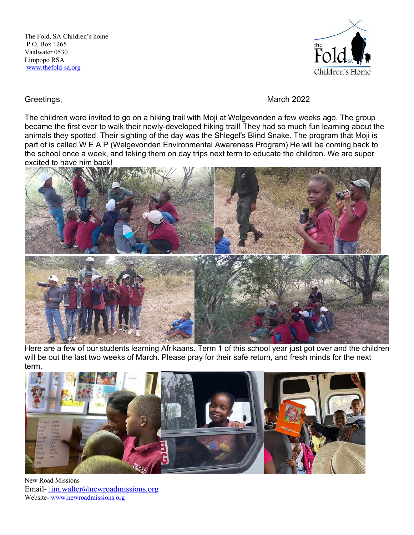

Greetings, **March 2022** 

The children were invited to go on a hiking trail with Moji at Welgevonden a few weeks ago. The group became the first ever to walk their newly-developed hiking trail! They had so much fun learning about the animals they spotted. Their sighting of the day was the Shlegel's Blind Snake. The program that Moji is part of is called W E A P (Welgevonden Environmental Awareness Program) He will be coming back to the school once a week, and taking them on day trips next term to educate the children. We are super excited to have him back!



Here are a few of our students learning Afrikaans. Term 1 of this school year just got over and the children will be out the last two weeks of March. Please pray for their safe return, and fresh minds for the next term.



New Road Missions Email- jim.walter@newroadmissions.org Website- www.newroadmissions.org